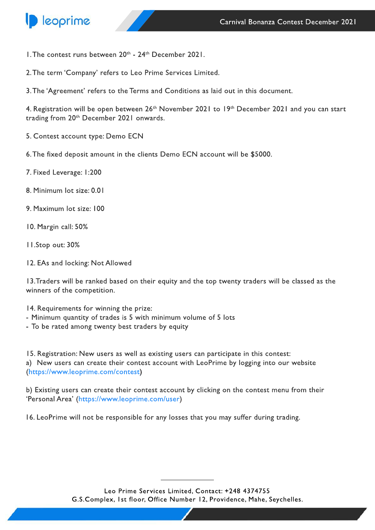

- 1. The contest runs between  $20<sup>th</sup>$   $24<sup>th</sup>$  December 2021.
- 2. The term 'Company' refers to Leo Prime Services Limited.
- 3. The 'Agreement' refers to the Terms and Conditions as laid out in this document.

4. Registration will be open between 26<sup>th</sup> November 2021 to 19<sup>th</sup> December 2021 and you can start trading from 20<sup>th</sup> December 2021 onwards.

- 5. Contest account type: Demo ECN
- 6. The fixed deposit amount in the clients Demo ECN account will be \$5000.
- 7. Fixed Leverage: 1:200
- 8. Minimum lot size: 0.01
- 9. Maximum lot size: 100
- 10. Margin call: 50%
- 11.Stopout:30%
- 12. EAs and locking: Not Allowed

13. Traders will be ranked based on their equity and the top twenty traders will be classed as the winners of the competition.

14. Requirements for winning the prize:

- Minimum quantity of trades is 5 with minimum volume of 5 lots
- To be rated among twenty best traders by equity

15. Registration: New users as well as existing users can participate in this contest: a) New users can create their contest account with LeoPrime by logging into our website [\(https://www.leoprime.com/contest\)](https://www.leoprime.com/contest)

b) Existing users can create their contest account by clicking on the contest menu from their 'Personal Area' (https://www.leoprime.com/user)

16. LeoPrime will not be responsible for any losses that you may suffer during trading.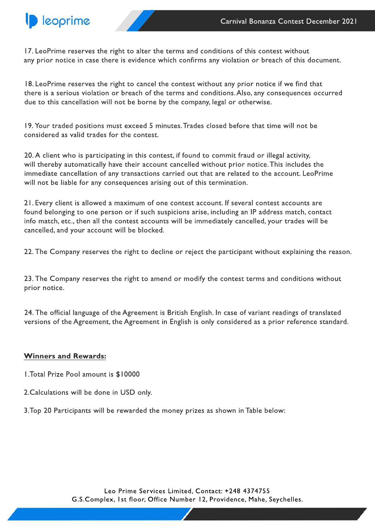

17. LeoPrime reserves the right to alter the terms and conditions of this contest without any prior notice in case there is evidence which confirms any violation or breach of this document.

18. LeoPrime reserves the right to cancel the contest without any prior notice if we find that there is a serious violation or breach of the terms and conditions. Also, any consequences occurred due to this cancellation will not be borne by the company, legal or otherwise.

19. Your traded positions must exceed 5 minutes. Trades closed before that time will not be considered as valid trades for the contest.

20. A client who is participating in this contest, if found to commit fraud or illegal activity, will thereby automatically have their account cancelled without prior notice. This includes the immediate cancellation of any transactions carried out that are related to the account. LeoPrime will not be liable for any consequences arising out of this termination.

21. Every client is allowed a maximum of one contest account. If several contest accounts are found belonging to one person or if such suspicions arise, including an IP address match, contact info match, etc., then all the contest accounts will be immediately cancelled, your trades will be cancelled, and your account will be blocked.

22. The Company reserves the right to decline or reject the participant without explaining the reason.

23. The Company reserves the right to amend or modify the contest terms and conditions without prior notice.

24. The official language of the Agreement is British English. In case of variant readings of translated versions of the Agreement, the Agreement in English is only considered as a prior reference standard.

## **Winners and Rewards:**

1. Total Prize Pool amount is \$10000

- 2. Calculations will be done in USD only.
- 3. Top 20 Participants will be rewarded the money prizes as shown in Table below: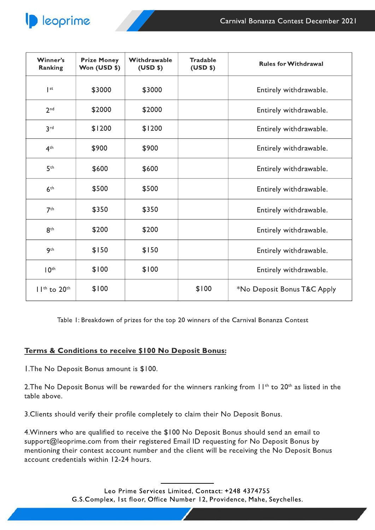| Winner's<br><b>Ranking</b> | <b>Prize Money</b><br>Won (USD \$) | Withdrawable<br>(USD | <b>Tradable</b><br>(USD | <b>Rules for Withdrawal</b> |
|----------------------------|------------------------------------|----------------------|-------------------------|-----------------------------|
| $ $ st                     | \$3000                             | \$3000               |                         | Entirely withdrawable.      |
| 2 <sup>nd</sup>            | \$2000                             | \$2000               |                         | Entirely withdrawable.      |
| 3 <sup>rd</sup>            | \$1200                             | \$1200               |                         | Entirely withdrawable.      |
| 4 <sup>th</sup>            | \$900                              | \$900                |                         | Entirely withdrawable.      |
| 5 <sup>th</sup>            | \$600                              | \$600                |                         | Entirely withdrawable.      |
| 6 <sup>th</sup>            | \$500                              | \$500                |                         | Entirely withdrawable.      |
| 7 <sup>th</sup>            | \$350                              | \$350                |                         | Entirely withdrawable.      |
| 8 <sup>th</sup>            | \$200                              | \$200                |                         | Entirely withdrawable.      |
| 9 <sup>th</sup>            | \$150                              | \$150                |                         | Entirely withdrawable.      |
| 10 <sup>th</sup>           | \$100                              | \$100                |                         | Entirely withdrawable.      |
| $11th$ to $20th$           | \$100                              |                      | \$100                   | *No Deposit Bonus T&C Apply |

Table 1: Breakdown of prizes for the top 20 winners of the Carnival Bonanza Contest

## Terms & Conditions to receive \$100 No Deposit Bonus:

I. The No Deposit Bonus amount is \$100.

2. The No Deposit Bonus will be rewarded for the winners ranking from II<sup>th</sup> to 20<sup>th</sup> as listed in the table above.

3. Clients should verify their profile completely to claim their No Deposit Bonus.

4. Winners who are qualified to receive the \$100 No Deposit Bonus should send an email to support@leoprime.com from their registered Email ID requesting for No Deposit Bonus by mentioning their contest account number and the client will be receiving the No Deposit Bonus account credentials within 12-24 hours.